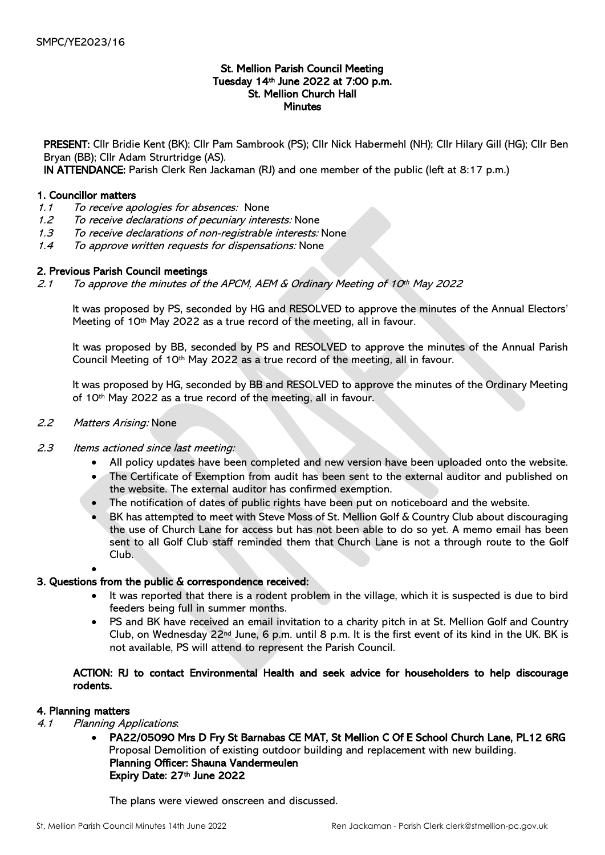## St. Mellion Parish Council Meeting Tuesday 14th June 2022 at 7:00 p.m. St. Mellion Church Hall **Minutes**

PRESENT: Cllr Bridie Kent (BK); Cllr Pam Sambrook (PS); Cllr Nick Habermehl (NH); Cllr Hilary Gill (HG); Cllr Ben Bryan (BB); Cllr Adam Strurtridge (AS).

IN ATTENDANCE: Parish Clerk Ren Jackaman (RJ) and one member of the public (left at 8:17 p.m.)

### 1. Councillor matters

- 1.1 To receive apologies for absences: None
- 1.2 To receive declarations of pecuniary interests: None
- 1.3 To receive declarations of non-registrable interests: None
- 1.4 To approve written requests for dispensations: None

# 2. Previous Parish Council meetings

2.1 To approve the minutes of the APCM, AEM  $\&$  Ordinary Meeting of 10<sup>th</sup> May 2022

It was proposed by PS, seconded by HG and RESOLVED to approve the minutes of the Annual Electors' Meeting of 10<sup>th</sup> May 2022 as a true record of the meeting, all in favour.

It was proposed by BB, seconded by PS and RESOLVED to approve the minutes of the Annual Parish Council Meeting of 10th May 2022 as a true record of the meeting, all in favour.

It was proposed by HG, seconded by BB and RESOLVED to approve the minutes of the Ordinary Meeting of 10th May 2022 as a true record of the meeting, all in favour.

### 2.2 Matters Arising: None

### 2.3 Items actioned since last meeting:

- All policy updates have been completed and new version have been uploaded onto the website.
- The Certificate of Exemption from audit has been sent to the external auditor and published on the website. The external auditor has confirmed exemption.
- The notification of dates of public rights have been put on noticeboard and the website.
- BK has attempted to meet with Steve Moss of St. Mellion Golf & Country Club about discouraging the use of Church Lane for access but has not been able to do so yet. A memo email has been sent to all Golf Club staff reminded them that Church Lane is not a through route to the Golf Club.

#### •

### 3. Questions from the public & correspondence received:

- It was reported that there is a rodent problem in the village, which it is suspected is due to bird feeders being full in summer months.
- PS and BK have received an email invitation to a charity pitch in at St. Mellion Golf and Country Club, on Wednesday 22nd June, 6 p.m. until 8 p.m. It is the first event of its kind in the UK. BK is not available, PS will attend to represent the Parish Council.

# ACTION: RJ to contact Environmental Health and seek advice for householders to help discourage rodents.

### 4. Planning matters

- 4.1 Planning Applications:
	- PA22/05090 Mrs D Fry St Barnabas CE MAT, St Mellion C Of E School Church Lane, PL12 6RG Proposal Demolition of existing outdoor building and replacement with new building. Planning Officer: Shauna Vandermeulen Expiry Date: 27th June 2022

The plans were viewed onscreen and discussed.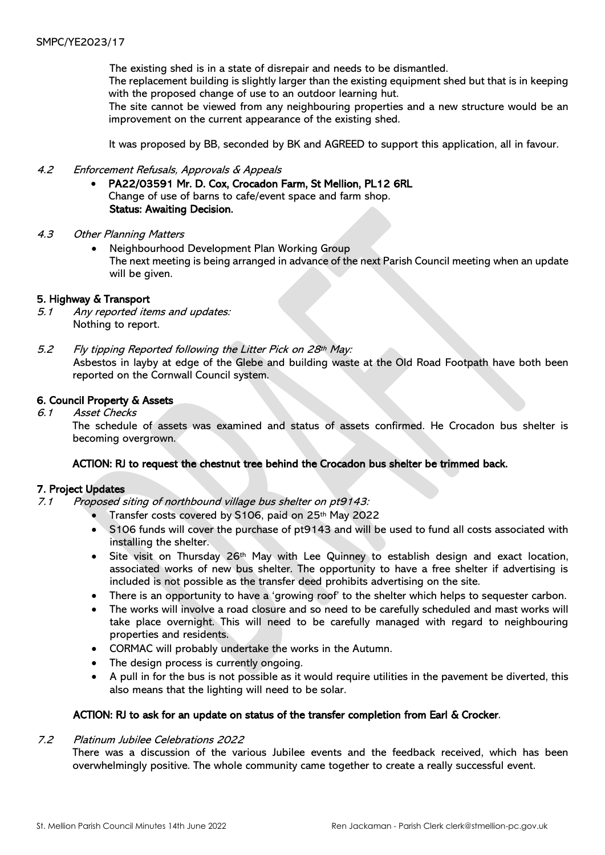The existing shed is in a state of disrepair and needs to be dismantled.

The replacement building is slightly larger than the existing equipment shed but that is in keeping with the proposed change of use to an outdoor learning hut.

The site cannot be viewed from any neighbouring properties and a new structure would be an improvement on the current appearance of the existing shed.

It was proposed by BB, seconded by BK and AGREED to support this application, all in favour.

### 4.2 Enforcement Refusals, Approvals & Appeals

- PA22/03591 Mr. D. Cox, Crocadon Farm, St Mellion, PL12 6RL Change of use of barns to cafe/event space and farm shop. Status: Awaiting Decision.
- 4.3 Other Planning Matters
	- Neighbourhood Development Plan Working Group The next meeting is being arranged in advance of the next Parish Council meeting when an update will be given.

#### 5. Highway & Transport

- 5.1 Any reported items and updates: Nothing to report.
- 5.2 Fly tipping Reported following the Litter Pick on 28th May: Asbestos in layby at edge of the Glebe and building waste at the Old Road Footpath have both been reported on the Cornwall Council system.

### 6. Council Property & Assets

6.1 Asset Checks

 The schedule of assets was examined and status of assets confirmed. He Crocadon bus shelter is becoming overgrown.

### ACTION: RJ to request the chestnut tree behind the Crocadon bus shelter be trimmed back.

#### 7. Project Updates

- 7.1 Proposed siting of northbound village bus shelter on pt9143:
	- Transfer costs covered by S106, paid on 25th May 2022
	- S106 funds will cover the purchase of pt9143 and will be used to fund all costs associated with installing the shelter.
	- Site visit on Thursday 26th May with Lee Quinney to establish design and exact location, associated works of new bus shelter. The opportunity to have a free shelter if advertising is included is not possible as the transfer deed prohibits advertising on the site.
	- There is an opportunity to have a 'growing roof' to the shelter which helps to sequester carbon.
	- The works will involve a road closure and so need to be carefully scheduled and mast works will take place overnight. This will need to be carefully managed with regard to neighbouring properties and residents.
	- CORMAC will probably undertake the works in the Autumn.
	- The design process is currently ongoing.
	- A pull in for the bus is not possible as it would require utilities in the pavement be diverted, this also means that the lighting will need to be solar.

#### ACTION: RJ to ask for an update on status of the transfer completion from Earl & Crocker.

#### 7.2 Platinum Jubilee Celebrations 2022

There was a discussion of the various Jubilee events and the feedback received, which has been overwhelmingly positive. The whole community came together to create a really successful event.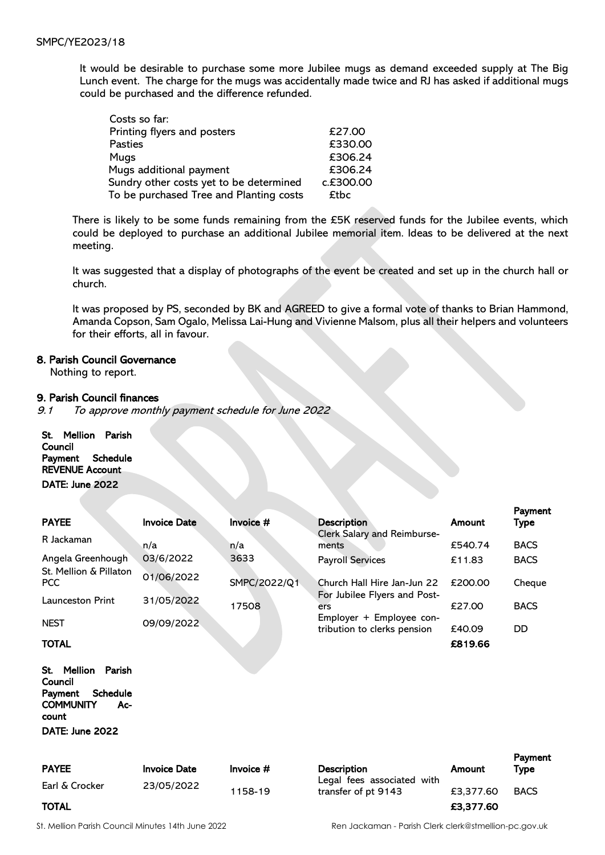It would be desirable to purchase some more Jubilee mugs as demand exceeded supply at The Big Lunch event. The charge for the mugs was accidentally made twice and RJ has asked if additional mugs could be purchased and the difference refunded.

| Costs so far:                           |           |
|-----------------------------------------|-----------|
| Printing flyers and posters             | £27.00    |
| <b>Pasties</b>                          | £330.00   |
| Mugs                                    | £306.24   |
| Mugs additional payment                 | £306.24   |
| Sundry other costs yet to be determined | c.£300.00 |
| To be purchased Tree and Planting costs | £tbc      |

There is likely to be some funds remaining from the £5K reserved funds for the Jubilee events, which could be deployed to purchase an additional Jubilee memorial item. Ideas to be delivered at the next meeting.

It was suggested that a display of photographs of the event be created and set up in the church hall or church.

It was proposed by PS, seconded by BK and AGREED to give a formal vote of thanks to Brian Hammond, Amanda Copson, Sam Ogalo, Melissa Lai-Hung and Vivienne Malsom, plus all their helpers and volunteers for their efforts, all in favour.

### 8. Parish Council Governance

Nothing to report.

#### 9. Parish Council finances

9.1 To approve monthly payment schedule for June 2022

St. Mellion Parish **Council** Payment Schedule REVENUE Account DATE: June 2022

|                                                                                                                          |                     |              |                                                         |         | Payment     |
|--------------------------------------------------------------------------------------------------------------------------|---------------------|--------------|---------------------------------------------------------|---------|-------------|
| <b>PAYEE</b>                                                                                                             | <b>Invoice Date</b> | Invoice #    | <b>Description</b>                                      | Amount  | Type        |
| R Jackaman                                                                                                               | n/a                 | n/a          | Clerk Salary and Reimburse-<br>ments                    | £540.74 | <b>BACS</b> |
| Angela Greenhough                                                                                                        | 03/6/2022           | 3633         | <b>Payroll Services</b>                                 | £11.83  | <b>BACS</b> |
| St. Mellion & Pillaton<br><b>PCC</b>                                                                                     | 01/06/2022          | SMPC/2022/Q1 | Church Hall Hire Jan-Jun 22                             | £200.00 | Cheque      |
| <b>Launceston Print</b>                                                                                                  | 31/05/2022          | 17508        | For Jubilee Flyers and Post-<br>ers                     | £27.00  | <b>BACS</b> |
| <b>NEST</b>                                                                                                              | 09/09/2022          |              | Employer + Employee con-<br>tribution to clerks pension | £40.09  | DD          |
| TOTAL                                                                                                                    |                     |              |                                                         | £819.66 |             |
| Mellion<br>Parish<br>St.<br>Council<br><b>Schedule</b><br>Payment<br><b>COMMUNITY</b><br>Ac-<br>count<br>DATE: June 2022 |                     |              |                                                         |         |             |
|                                                                                                                          |                     |              |                                                         |         | Payment     |

| <b>PAYEE</b>   | <b>Invoice Date</b> | Invoice $#$ | <b>Description</b>                                | Amount    | <b>Type</b> |  |
|----------------|---------------------|-------------|---------------------------------------------------|-----------|-------------|--|
| Earl & Crocker | 23/05/2022          | 1158-19     | Legal fees associated with<br>transfer of pt 9143 | £3.377.60 | <b>BACS</b> |  |
| <b>TOTAL</b>   |                     |             |                                                   | £3,377.60 |             |  |